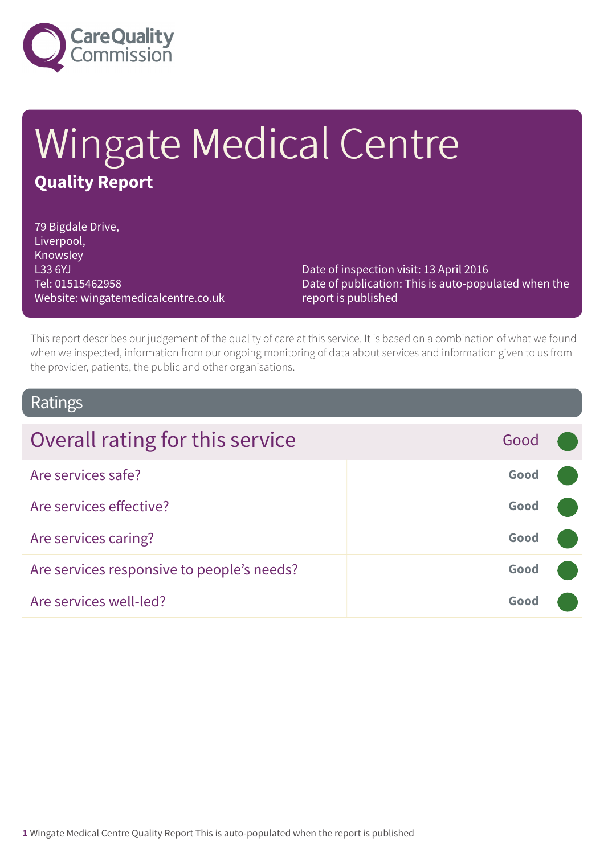

# Wingate Medical Centre **Quality Report**

79 Bigdale Drive, Liverpool, **Knowsley** L33 6YJ Tel: 01515462958 Website: wingatemedicalcentre.co.uk

Date of inspection visit: 13 April 2016 Date of publication: This is auto-populated when the report is published

This report describes our judgement of the quality of care at this service. It is based on a combination of what we found when we inspected, information from our ongoing monitoring of data about services and information given to us from the provider, patients, the public and other organisations.

### Ratings

| Overall rating for this service            | Good |  |
|--------------------------------------------|------|--|
| Are services safe?                         | Good |  |
| Are services effective?                    | Good |  |
| Are services caring?                       | Good |  |
| Are services responsive to people's needs? | Good |  |
| Are services well-led?                     | Good |  |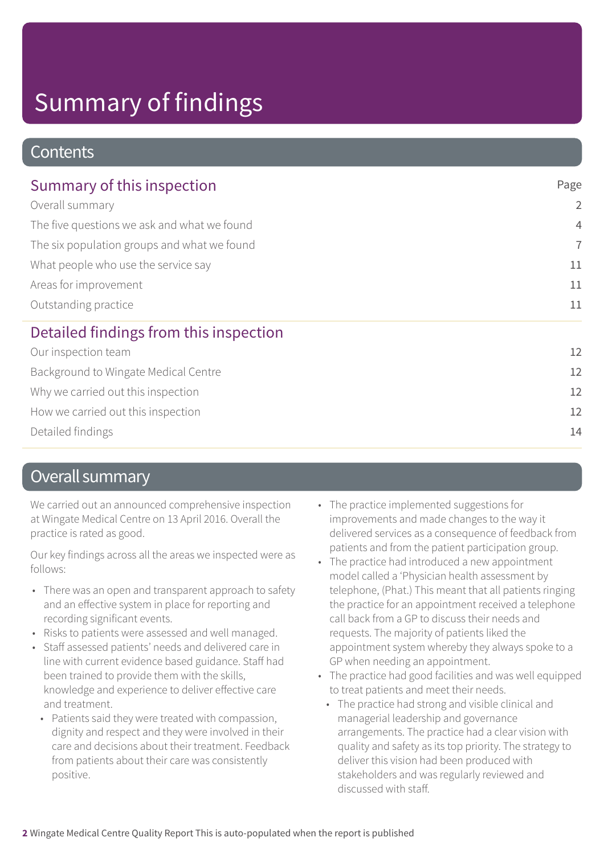### **Contents**

| Summary of this inspection                                                                                                                                                    | Page           |
|-------------------------------------------------------------------------------------------------------------------------------------------------------------------------------|----------------|
| Overall summary<br>The five questions we ask and what we found<br>The six population groups and what we found<br>What people who use the service say<br>Areas for improvement | $\overline{2}$ |
|                                                                                                                                                                               | $\overline{4}$ |
|                                                                                                                                                                               | $\overline{7}$ |
|                                                                                                                                                                               | 11             |
|                                                                                                                                                                               | 11             |
| Outstanding practice                                                                                                                                                          | 11             |
| Detailed findings from this inspection                                                                                                                                        |                |
| Our inspection team                                                                                                                                                           | 12             |
| Background to Wingate Medical Centre                                                                                                                                          | 12             |
| Why we carried out this inspection                                                                                                                                            | 12             |
| How we carried out this inspection                                                                                                                                            | 12             |

Detailed findings 14

### Overall summary

We carried out an announced comprehensive inspection at Wingate Medical Centre on 13 April 2016. Overall the practice is rated as good.

Our key findings across all the areas we inspected were as follows:

- There was an open and transparent approach to safety and an effective system in place for reporting and recording significant events.
- Risks to patients were assessed and well managed.
- Staff assessed patients' needs and delivered care in line with current evidence based guidance. Staff had been trained to provide them with the skills, knowledge and experience to deliver effective care and treatment.
	- Patients said they were treated with compassion, dignity and respect and they were involved in their care and decisions about their treatment. Feedback from patients about their care was consistently positive.
- The practice implemented suggestions for improvements and made changes to the way it delivered services as a consequence of feedback from patients and from the patient participation group.
- The practice had introduced a new appointment model called a 'Physician health assessment by telephone, (Phat.) This meant that all patients ringing the practice for an appointment received a telephone call back from a GP to discuss their needs and requests. The majority of patients liked the appointment system whereby they always spoke to a GP when needing an appointment.
- The practice had good facilities and was well equipped to treat patients and meet their needs.
	- The practice had strong and visible clinical and managerial leadership and governance arrangements. The practice had a clear vision with quality and safety as its top priority. The strategy to deliver this vision had been produced with stakeholders and was regularly reviewed and discussed with staff.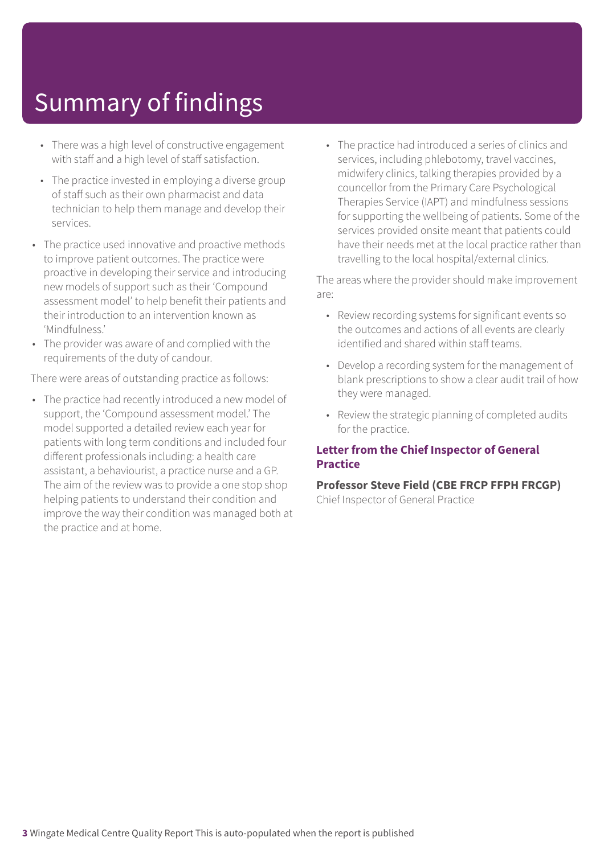- There was a high level of constructive engagement with staff and a high level of staff satisfaction.
- The practice invested in employing a diverse group of staff such as their own pharmacist and data technician to help them manage and develop their services.
- The practice used innovative and proactive methods to improve patient outcomes. The practice were proactive in developing their service and introducing new models of support such as their 'Compound assessment model' to help benefit their patients and their introduction to an intervention known as 'Mindfulness.'
- The provider was aware of and complied with the requirements of the duty of candour.

There were areas of outstanding practice as follows:

• The practice had recently introduced a new model of support, the 'Compound assessment model.' The model supported a detailed review each year for patients with long term conditions and included four different professionals including: a health care assistant, a behaviourist, a practice nurse and a GP. The aim of the review was to provide a one stop shop helping patients to understand their condition and improve the way their condition was managed both at the practice and at home.

• The practice had introduced a series of clinics and services, including phlebotomy, travel vaccines, midwifery clinics, talking therapies provided by a councellor from the Primary Care Psychological Therapies Service (IAPT) and mindfulness sessions for supporting the wellbeing of patients. Some of the services provided onsite meant that patients could have their needs met at the local practice rather than travelling to the local hospital/external clinics.

The areas where the provider should make improvement are:

- Review recording systems for significant events so the outcomes and actions of all events are clearly identified and shared within staff teams.
- Develop a recording system for the management of blank prescriptions to show a clear audit trail of how they were managed.
- Review the strategic planning of completed audits for the practice.

#### **Letter from the Chief Inspector of General Practice**

### **Professor Steve Field (CBE FRCP FFPH FRCGP)**

Chief Inspector of General Practice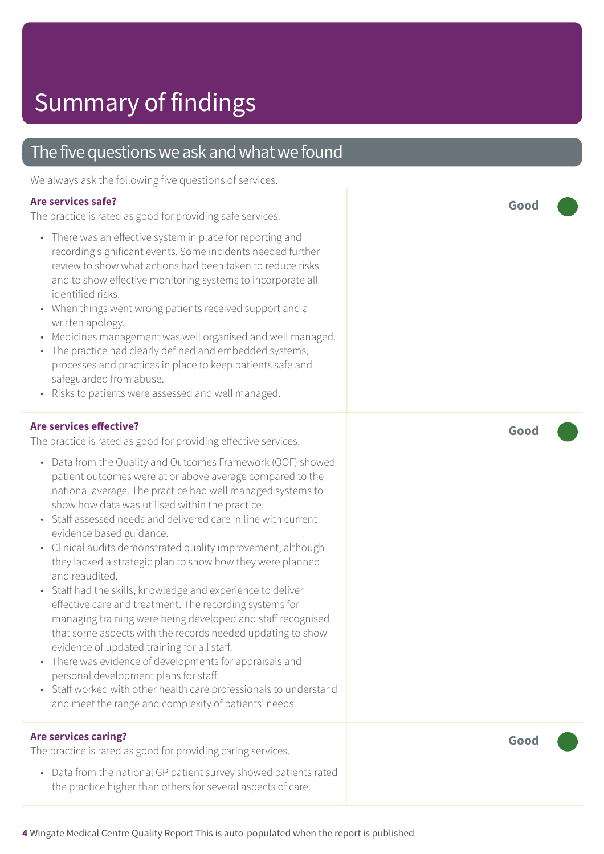### The five questions we ask and what we found

We always ask the following five questions of services.

#### **Are services safe?**

The practice is rated as good for providing safe services.

- There was an effective system in place for reporting and recording significant events. Some incidents needed further review to show what actions had been taken to reduce risks and to show effective monitoring systems to incorporate all identified risks.
- When things went wrong patients received support and a written apology.
- Medicines management was well organised and well managed.
- The practice had clearly defined and embedded systems, processes and practices in place to keep patients safe and safeguarded from abuse.
- Risks to patients were assessed and well managed.

#### **Are services effective?**

The practice is rated as good for providing effective services.

- Data from the Quality and Outcomes Framework (QOF) showed patient outcomes were at or above average compared to the national average. The practice had well managed systems to show how data was utilised within the practice.
- Staff assessed needs and delivered care in line with current evidence based guidance.
- Clinical audits demonstrated quality improvement, although they lacked a strategic plan to show how they were planned and reaudited.
- Staff had the skills, knowledge and experience to deliver effective care and treatment. The recording systems for managing training were being developed and staff recognised that some aspects with the records needed updating to show evidence of updated training for all staff.
- There was evidence of developments for appraisals and personal development plans for staff.
- Staff worked with other health care professionals to understand and meet the range and complexity of patients' needs.

#### **Are services caring?**

The practice is rated as good for providing caring services.

• Data from the national GP patient survey showed patients rated the practice higher than others for several aspects of care.

**Good –––**

**Good –––**

**Good –––**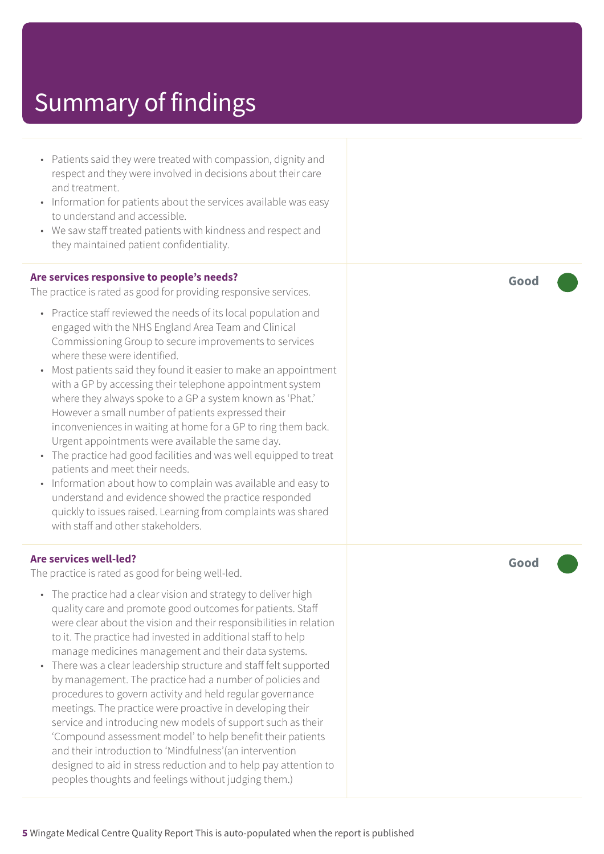- Patients said they were treated with compassion, dignity and respect and they were involved in decisions about their care and treatment.
- Information for patients about the services available was easy to understand and accessible.
- We saw staff treated patients with kindness and respect and they maintained patient confidentiality.

#### **Are services responsive to people's needs?**

The practice is rated as good for providing responsive services.

- Practice staff reviewed the needs of its local population and engaged with the NHS England Area Team and Clinical Commissioning Group to secure improvements to services where these were identified.
- Most patients said they found it easier to make an appointment with a GP by accessing their telephone appointment system where they always spoke to a GP a system known as 'Phat.' However a small number of patients expressed their inconveniences in waiting at home for a GP to ring them back. Urgent appointments were available the same day.
- The practice had good facilities and was well equipped to treat patients and meet their needs.
- Information about how to complain was available and easy to understand and evidence showed the practice responded quickly to issues raised. Learning from complaints was shared with staff and other stakeholders.

#### **Are services well-led?**

The practice is rated as good for being well-led.

- The practice had a clear vision and strategy to deliver high quality care and promote good outcomes for patients. Staff were clear about the vision and their responsibilities in relation to it. The practice had invested in additional staff to help manage medicines management and their data systems.
- There was a clear leadership structure and staff felt supported by management. The practice had a number of policies and procedures to govern activity and held regular governance meetings. The practice were proactive in developing their service and introducing new models of support such as their 'Compound assessment model' to help benefit their patients and their introduction to 'Mindfulness'(an intervention designed to aid in stress reduction and to help pay attention to peoples thoughts and feelings without judging them.)

**Good –––**

**Good –––**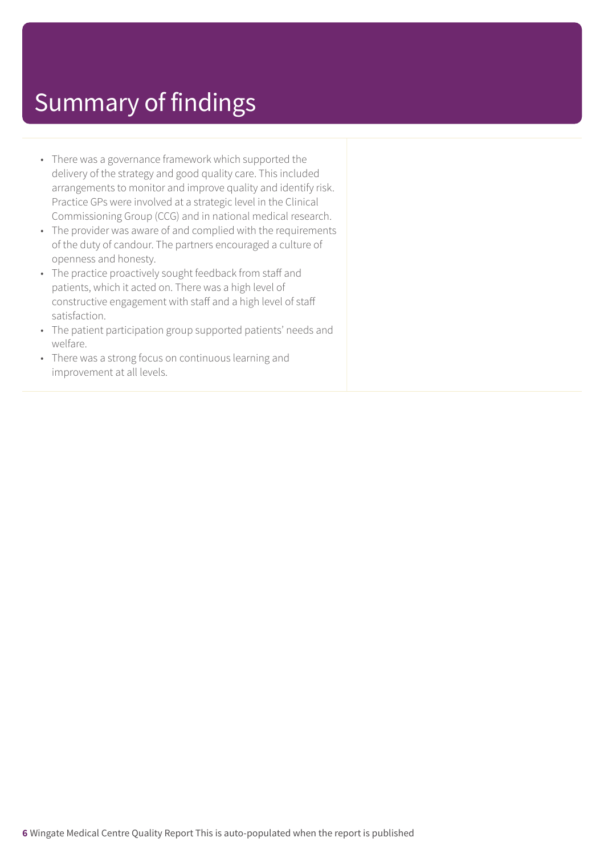- There was a governance framework which supported the delivery of the strategy and good quality care. This included arrangements to monitor and improve quality and identify risk. Practice GPs were involved at a strategic level in the Clinical Commissioning Group (CCG) and in national medical research.
- The provider was aware of and complied with the requirements of the duty of candour. The partners encouraged a culture of openness and honesty.
- The practice proactively sought feedback from staff and patients, which it acted on. There was a high level of constructive engagement with staff and a high level of staff satisfaction.
- The patient participation group supported patients' needs and welfare.
- There was a strong focus on continuous learning and improvement at all levels.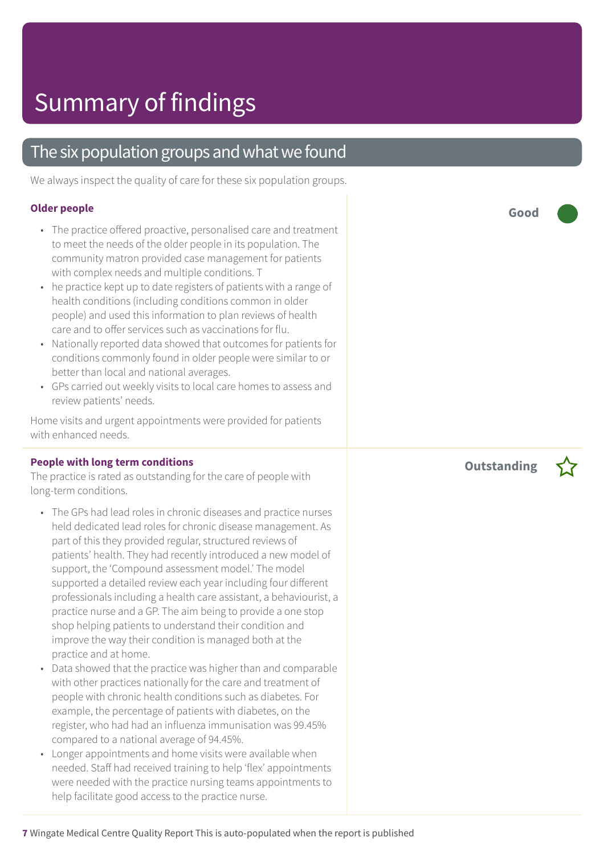### The six population groups and what we found

We always inspect the quality of care for these six population groups.

#### **Older people**

- The practice offered proactive, personalised care and treatment to meet the needs of the older people in its population. The community matron provided case management for patients with complex needs and multiple conditions. T
- he practice kept up to date registers of patients with a range of health conditions (including conditions common in older people) and used this information to plan reviews of health care and to offer services such as vaccinations for flu.
- Nationally reported data showed that outcomes for patients for conditions commonly found in older people were similar to or better than local and national averages.
- GPs carried out weekly visits to local care homes to assess and review patients' needs.

Home visits and urgent appointments were provided for patients with enhanced needs.

#### **People with long term conditions**

The practice is rated as outstanding for the care of people with long-term conditions.

- The GPs had lead roles in chronic diseases and practice nurses held dedicated lead roles for chronic disease management. As part of this they provided regular, structured reviews of patients' health. They had recently introduced a new model of support, the 'Compound assessment model.' The model supported a detailed review each year including four different professionals including a health care assistant, a behaviourist, a practice nurse and a GP. The aim being to provide a one stop shop helping patients to understand their condition and improve the way their condition is managed both at the practice and at home.
- Data showed that the practice was higher than and comparable with other practices nationally for the care and treatment of people with chronic health conditions such as diabetes. For example, the percentage of patients with diabetes, on the register, who had had an influenza immunisation was 99.45% compared to a national average of 94.45%.
- Longer appointments and home visits were available when needed. Staff had received training to help 'flex' appointments were needed with the practice nursing teams appointments to help facilitate good access to the practice nurse.

**Good –––**

**Outstanding –**

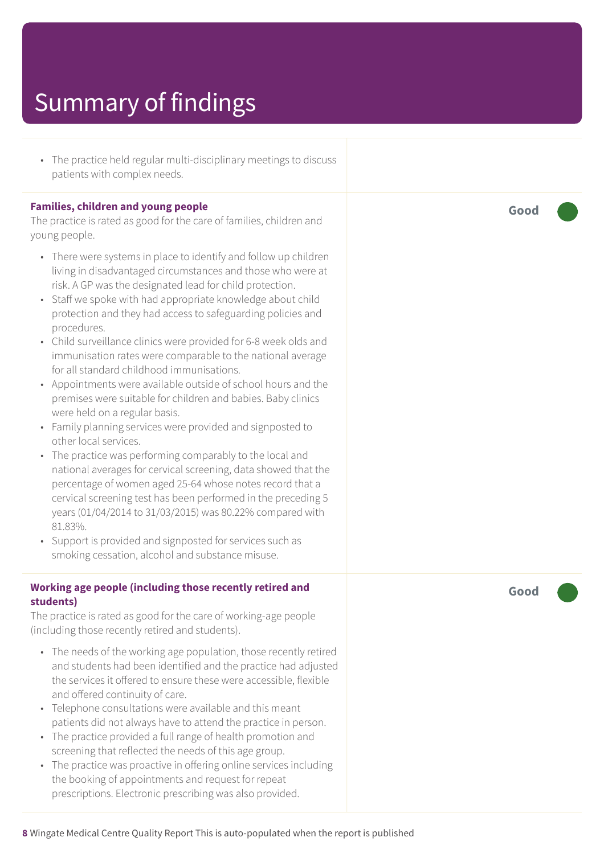• The practice held regular multi-disciplinary meetings to discuss patients with complex needs.

#### **Families, children and young people**

The practice is rated as good for the care of families, children and young people.

- There were systems in place to identify and follow up children living in disadvantaged circumstances and those who were at risk. A GP was the designated lead for child protection.
- Staff we spoke with had appropriate knowledge about child protection and they had access to safeguarding policies and procedures.
- Child surveillance clinics were provided for 6-8 week olds and immunisation rates were comparable to the national average for all standard childhood immunisations.
- Appointments were available outside of school hours and the premises were suitable for children and babies. Baby clinics were held on a regular basis.
- Family planning services were provided and signposted to other local services.
- The practice was performing comparably to the local and national averages for cervical screening, data showed that the percentage of women aged 25-64 whose notes record that a cervical screening test has been performed in the preceding 5 years (01/04/2014 to 31/03/2015) was 80.22% compared with 81.83%.
- Support is provided and signposted for services such as smoking cessation, alcohol and substance misuse.

#### **Working age people (including those recently retired and students)**

The practice is rated as good for the care of working-age people (including those recently retired and students).

- The needs of the working age population, those recently retired and students had been identified and the practice had adjusted the services it offered to ensure these were accessible, flexible and offered continuity of care.
- Telephone consultations were available and this meant patients did not always have to attend the practice in person.
- The practice provided a full range of health promotion and screening that reflected the needs of this age group.
- The practice was proactive in offering online services including the booking of appointments and request for repeat prescriptions. Electronic prescribing was also provided.

**Good –––**

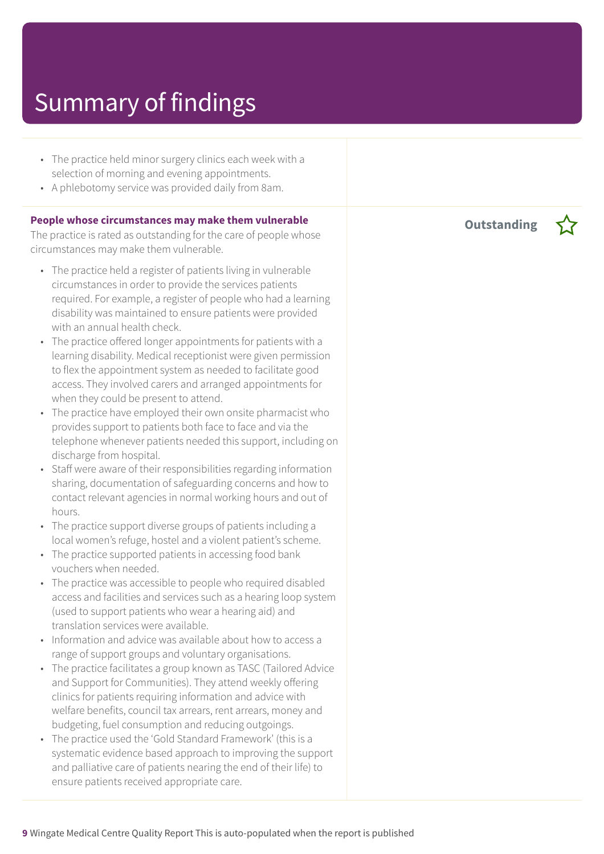- The practice held minor surgery clinics each week with a selection of morning and evening appointments.
- A phlebotomy service was provided daily from 8am.

#### **People whose circumstances may make them vulnerable**

The practice is rated as outstanding for the care of people whose circumstances may make them vulnerable.

- The practice held a register of patients living in vulnerable circumstances in order to provide the services patients required. For example, a register of people who had a learning disability was maintained to ensure patients were provided with an annual health check.
- The practice offered longer appointments for patients with a learning disability. Medical receptionist were given permission to flex the appointment system as needed to facilitate good access. They involved carers and arranged appointments for when they could be present to attend.
- The practice have employed their own onsite pharmacist who provides support to patients both face to face and via the telephone whenever patients needed this support, including on discharge from hospital.
- Staff were aware of their responsibilities regarding information sharing, documentation of safeguarding concerns and how to contact relevant agencies in normal working hours and out of hours.
- The practice support diverse groups of patients including a local women's refuge, hostel and a violent patient's scheme.
- The practice supported patients in accessing food bank vouchers when needed.
- The practice was accessible to people who required disabled access and facilities and services such as a hearing loop system (used to support patients who wear a hearing aid) and translation services were available.
- Information and advice was available about how to access a range of support groups and voluntary organisations.
- The practice facilitates a group known as TASC (Tailored Advice and Support for Communities). They attend weekly offering clinics for patients requiring information and advice with welfare benefits, council tax arrears, rent arrears, money and budgeting, fuel consumption and reducing outgoings.
- The practice used the 'Gold Standard Framework' (this is a systematic evidence based approach to improving the support and palliative care of patients nearing the end of their life) to ensure patients received appropriate care.

**Outstanding –**

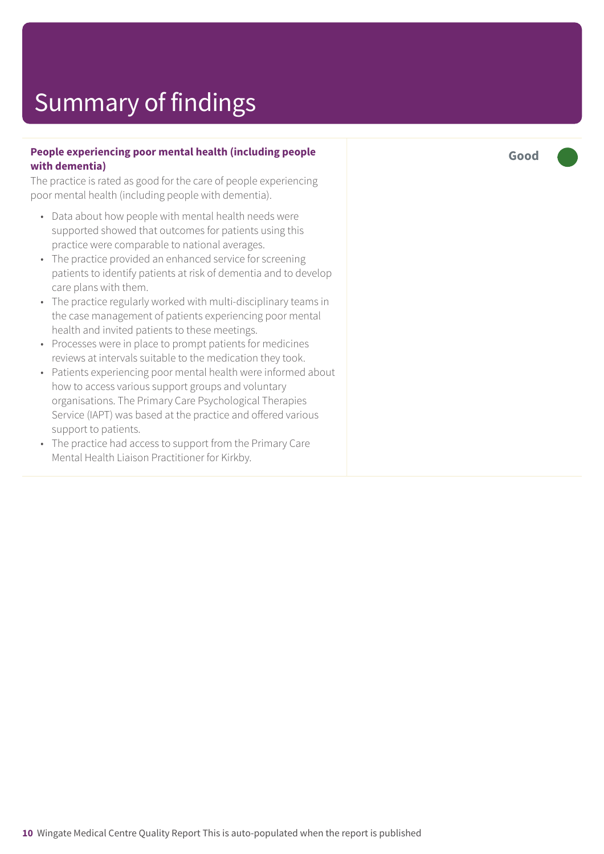#### **People experiencing poor mental health (including people with dementia)**

The practice is rated as good for the care of people experiencing poor mental health (including people with dementia).

- Data about how people with mental health needs were supported showed that outcomes for patients using this practice were comparable to national averages.
- The practice provided an enhanced service for screening patients to identify patients at risk of dementia and to develop care plans with them.
- The practice regularly worked with multi-disciplinary teams in the case management of patients experiencing poor mental health and invited patients to these meetings.
- Processes were in place to prompt patients for medicines reviews at intervals suitable to the medication they took.
- Patients experiencing poor mental health were informed about how to access various support groups and voluntary organisations. The Primary Care Psychological Therapies Service (IAPT) was based at the practice and offered various support to patients.
- The practice had access to support from the Primary Care Mental Health Liaison Practitioner for Kirkby.

**Good –––**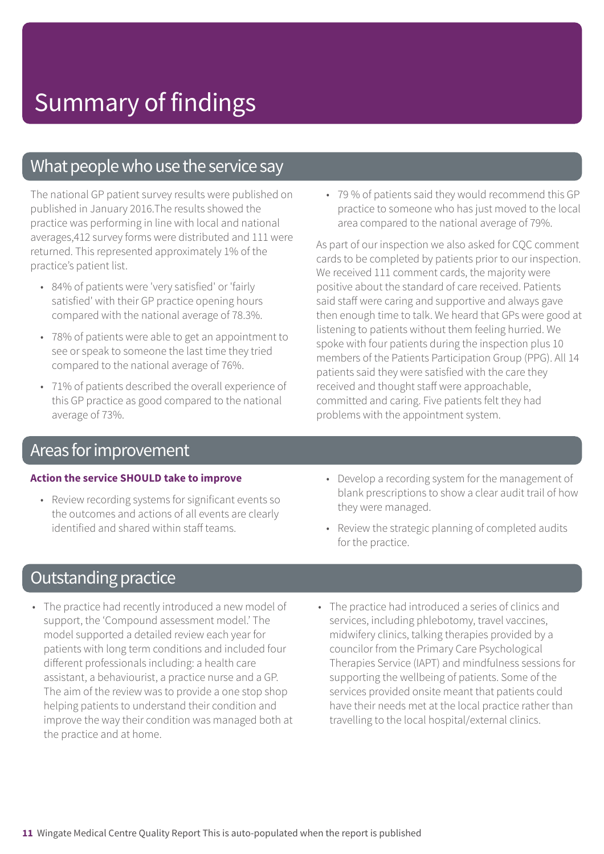### What people who use the service say

The national GP patient survey results were published on published in January 2016.The results showed the practice was performing in line with local and national averages,412 survey forms were distributed and 111 were returned. This represented approximately 1% of the practice's patient list.

- 84% of patients were 'very satisfied' or 'fairly satisfied' with their GP practice opening hours compared with the national average of 78.3%.
- 78% of patients were able to get an appointment to see or speak to someone the last time they tried compared to the national average of 76%.
- 71% of patients described the overall experience of this GP practice as good compared to the national average of 73%.

### Areas for improvement

#### **Action the service SHOULD take to improve**

- Review recording systems for significant events so the outcomes and actions of all events are clearly identified and shared within staff teams.
- **Outstanding practice**
- The practice had recently introduced a new model of support, the 'Compound assessment model.' The model supported a detailed review each year for patients with long term conditions and included four different professionals including: a health care assistant, a behaviourist, a practice nurse and a GP. The aim of the review was to provide a one stop shop helping patients to understand their condition and improve the way their condition was managed both at the practice and at home.

• 79 % of patients said they would recommend this GP practice to someone who has just moved to the local area compared to the national average of 79%.

As part of our inspection we also asked for CQC comment cards to be completed by patients prior to our inspection. We received 111 comment cards, the majority were positive about the standard of care received. Patients said staff were caring and supportive and always gave then enough time to talk. We heard that GPs were good at listening to patients without them feeling hurried. We spoke with four patients during the inspection plus 10 members of the Patients Participation Group (PPG). All 14 patients said they were satisfied with the care they received and thought staff were approachable, committed and caring. Five patients felt they had problems with the appointment system.

- Develop a recording system for the management of blank prescriptions to show a clear audit trail of how they were managed.
- Review the strategic planning of completed audits for the practice.
- The practice had introduced a series of clinics and services, including phlebotomy, travel vaccines, midwifery clinics, talking therapies provided by a councilor from the Primary Care Psychological Therapies Service (IAPT) and mindfulness sessions for supporting the wellbeing of patients. Some of the services provided onsite meant that patients could have their needs met at the local practice rather than travelling to the local hospital/external clinics.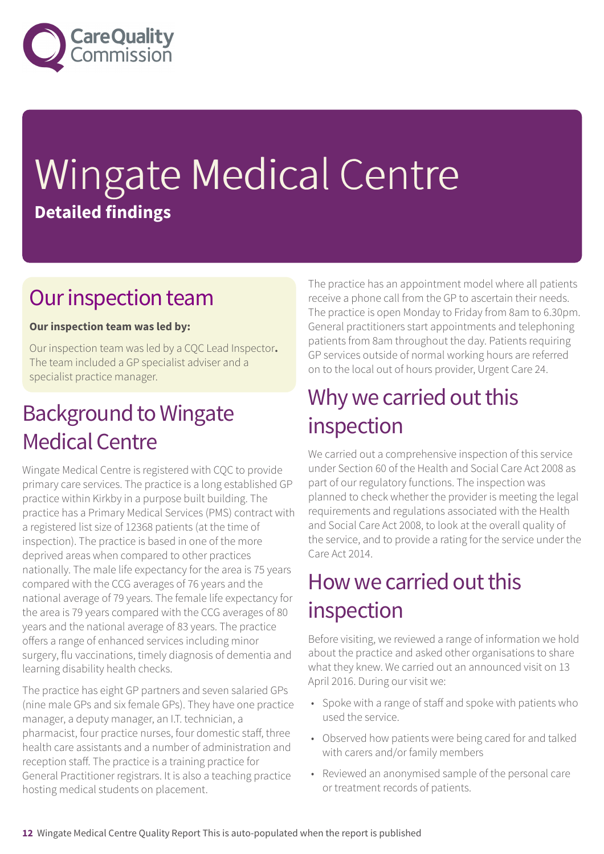

# Wingate Medical Centre **Detailed findings**

### Our inspection team

#### **Our inspection team was led by:**

Our inspection team was led by a CQC Lead Inspector**.** The team included a GP specialist adviser and a specialist practice manager.

### **Background to Wingate Medical Centre**

Wingate Medical Centre is registered with CQC to provide primary care services. The practice is a long established GP practice within Kirkby in a purpose built building. The practice has a Primary Medical Services (PMS) contract with a registered list size of 12368 patients (at the time of inspection). The practice is based in one of the more deprived areas when compared to other practices nationally. The male life expectancy for the area is 75 years compared with the CCG averages of 76 years and the national average of 79 years. The female life expectancy for the area is 79 years compared with the CCG averages of 80 years and the national average of 83 years. The practice offers a range of enhanced services including minor surgery, flu vaccinations, timely diagnosis of dementia and learning disability health checks.

The practice has eight GP partners and seven salaried GPs (nine male GPs and six female GPs). They have one practice manager, a deputy manager, an I.T. technician, a pharmacist, four practice nurses, four domestic staff, three health care assistants and a number of administration and reception staff. The practice is a training practice for General Practitioner registrars. It is also a teaching practice hosting medical students on placement.

The practice has an appointment model where all patients receive a phone call from the GP to ascertain their needs. The practice is open Monday to Friday from 8am to 6.30pm. General practitioners start appointments and telephoning patients from 8am throughout the day. Patients requiring GP services outside of normal working hours are referred on to the local out of hours provider, Urgent Care 24.

### Why we carried out this inspection

We carried out a comprehensive inspection of this service under Section 60 of the Health and Social Care Act 2008 as part of our regulatory functions. The inspection was planned to check whether the provider is meeting the legal requirements and regulations associated with the Health and Social Care Act 2008, to look at the overall quality of the service, and to provide a rating for the service under the Care Act 2014.

### How we carried out this inspection

Before visiting, we reviewed a range of information we hold about the practice and asked other organisations to share what they knew. We carried out an announced visit on 13 April 2016. During our visit we:

- Spoke with a range of staff and spoke with patients who used the service.
- Observed how patients were being cared for and talked with carers and/or family members
- Reviewed an anonymised sample of the personal care or treatment records of patients.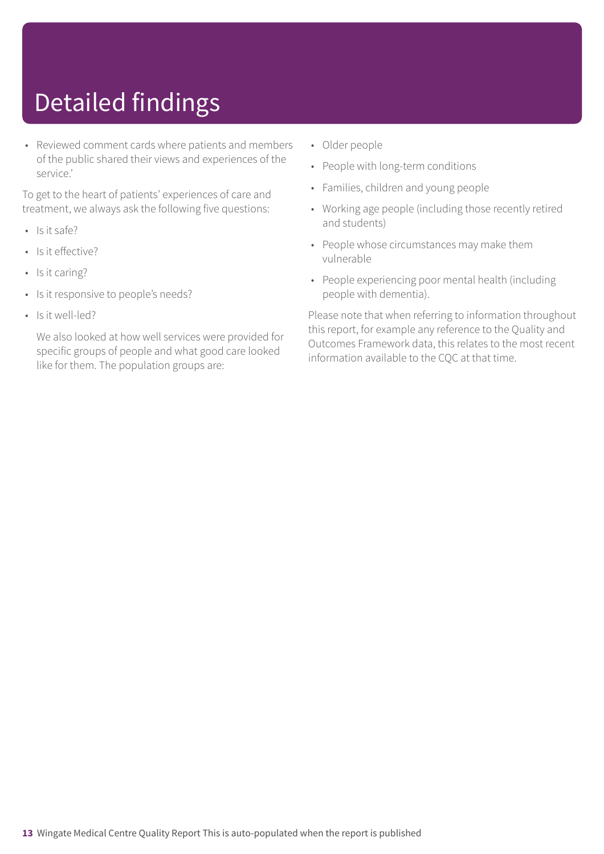# Detailed findings

• Reviewed comment cards where patients and members of the public shared their views and experiences of the service.'

To get to the heart of patients' experiences of care and treatment, we always ask the following five questions:

- Is it safe?
- Is it effective?
- Is it caring?
- Is it responsive to people's needs?
- Is it well-led?

We also looked at how well services were provided for specific groups of people and what good care looked like for them. The population groups are:

- Older people
- People with long-term conditions
- Families, children and young people
- Working age people (including those recently retired and students)
- People whose circumstances may make them vulnerable
- People experiencing poor mental health (including people with dementia).

Please note that when referring to information throughout this report, for example any reference to the Quality and Outcomes Framework data, this relates to the most recent information available to the CQC at that time.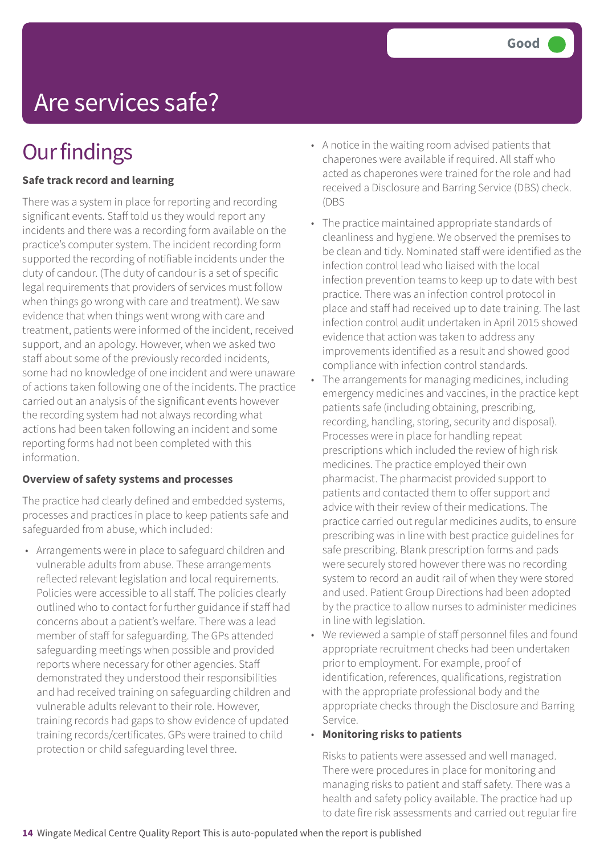# Are services safe?

### **Our findings**

#### **Safe track record and learning**

There was a system in place for reporting and recording significant events. Staff told us they would report any incidents and there was a recording form available on the practice's computer system. The incident recording form supported the recording of notifiable incidents under the duty of candour. (The duty of candour is a set of specific legal requirements that providers of services must follow when things go wrong with care and treatment). We saw evidence that when things went wrong with care and treatment, patients were informed of the incident, received support, and an apology. However, when we asked two staff about some of the previously recorded incidents, some had no knowledge of one incident and were unaware of actions taken following one of the incidents. The practice carried out an analysis of the significant events however the recording system had not always recording what actions had been taken following an incident and some reporting forms had not been completed with this information.

#### **Overview of safety systems and processes**

The practice had clearly defined and embedded systems, processes and practices in place to keep patients safe and safeguarded from abuse, which included:

• Arrangements were in place to safeguard children and vulnerable adults from abuse. These arrangements reflected relevant legislation and local requirements. Policies were accessible to all staff. The policies clearly outlined who to contact for further guidance if staff had concerns about a patient's welfare. There was a lead member of staff for safeguarding. The GPs attended safeguarding meetings when possible and provided reports where necessary for other agencies. Staff demonstrated they understood their responsibilities and had received training on safeguarding children and vulnerable adults relevant to their role. However, training records had gaps to show evidence of updated training records/certificates. GPs were trained to child protection or child safeguarding level three.

- A notice in the waiting room advised patients that chaperones were available if required. All staff who acted as chaperones were trained for the role and had received a Disclosure and Barring Service (DBS) check. (DBS
- The practice maintained appropriate standards of cleanliness and hygiene. We observed the premises to be clean and tidy. Nominated staff were identified as the infection control lead who liaised with the local infection prevention teams to keep up to date with best practice. There was an infection control protocol in place and staff had received up to date training. The last infection control audit undertaken in April 2015 showed evidence that action was taken to address any improvements identified as a result and showed good compliance with infection control standards.
- The arrangements for managing medicines, including emergency medicines and vaccines, in the practice kept patients safe (including obtaining, prescribing, recording, handling, storing, security and disposal). Processes were in place for handling repeat prescriptions which included the review of high risk medicines. The practice employed their own pharmacist. The pharmacist provided support to patients and contacted them to offer support and advice with their review of their medications. The practice carried out regular medicines audits, to ensure prescribing was in line with best practice guidelines for safe prescribing. Blank prescription forms and pads were securely stored however there was no recording system to record an audit rail of when they were stored and used. Patient Group Directions had been adopted by the practice to allow nurses to administer medicines in line with legislation.
- We reviewed a sample of staff personnel files and found appropriate recruitment checks had been undertaken prior to employment. For example, proof of identification, references, qualifications, registration with the appropriate professional body and the appropriate checks through the Disclosure and Barring Service.

#### • **Monitoring risks to patients**

Risks to patients were assessed and well managed. There were procedures in place for monitoring and managing risks to patient and staff safety. There was a health and safety policy available. The practice had up to date fire risk assessments and carried out regular fire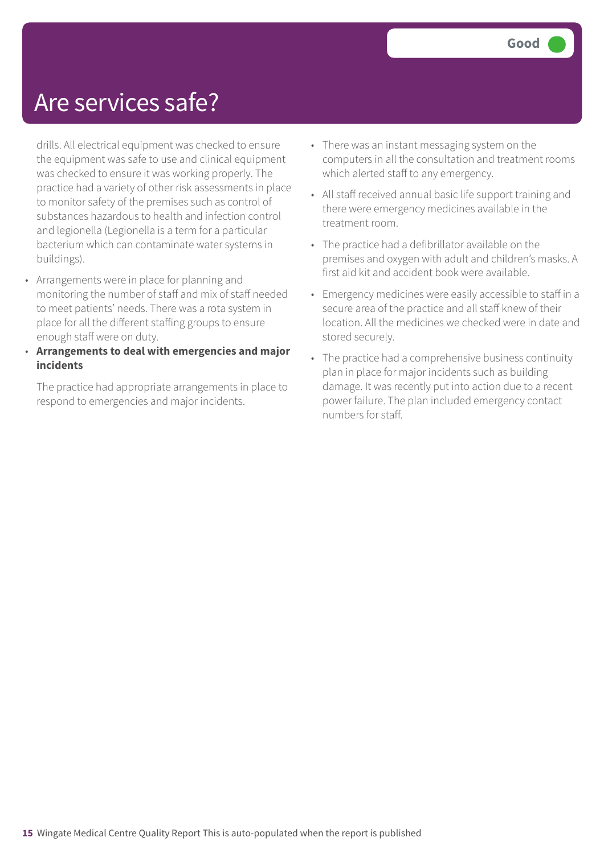### Are services safe?

drills. All electrical equipment was checked to ensure the equipment was safe to use and clinical equipment was checked to ensure it was working properly. The practice had a variety of other risk assessments in place to monitor safety of the premises such as control of substances hazardous to health and infection control and legionella (Legionella is a term for a particular bacterium which can contaminate water systems in buildings).

- Arrangements were in place for planning and monitoring the number of staff and mix of staff needed to meet patients' needs. There was a rota system in place for all the different staffing groups to ensure enough staff were on duty.
- **Arrangements to deal with emergencies and major incidents**

The practice had appropriate arrangements in place to respond to emergencies and major incidents.

- There was an instant messaging system on the computers in all the consultation and treatment rooms which alerted staff to any emergency.
- All staff received annual basic life support training and there were emergency medicines available in the treatment room.
- The practice had a defibrillator available on the premises and oxygen with adult and children's masks. A first aid kit and accident book were available.
- Emergency medicines were easily accessible to staff in a secure area of the practice and all staff knew of their location. All the medicines we checked were in date and stored securely.
- The practice had a comprehensive business continuity plan in place for major incidents such as building damage. It was recently put into action due to a recent power failure. The plan included emergency contact numbers for staff.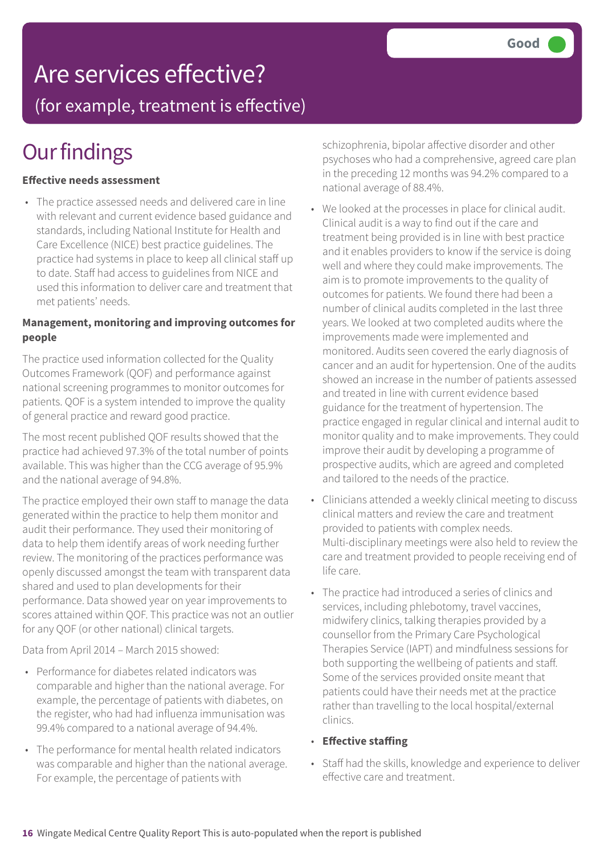### Are services effective?

(for example, treatment is effective)

### **Our findings**

#### **Effective needs assessment**

• The practice assessed needs and delivered care in line with relevant and current evidence based guidance and standards, including National Institute for Health and Care Excellence (NICE) best practice guidelines. The practice had systems in place to keep all clinical staff up to date. Staff had access to guidelines from NICE and used this information to deliver care and treatment that met patients' needs.

#### **Management, monitoring and improving outcomes for people**

The practice used information collected for the Quality Outcomes Framework (QOF) and performance against national screening programmes to monitor outcomes for patients. QOF is a system intended to improve the quality of general practice and reward good practice.

The most recent published QOF results showed that the practice had achieved 97.3% of the total number of points available. This was higher than the CCG average of 95.9% and the national average of 94.8%.

The practice employed their own staff to manage the data generated within the practice to help them monitor and audit their performance. They used their monitoring of data to help them identify areas of work needing further review. The monitoring of the practices performance was openly discussed amongst the team with transparent data shared and used to plan developments for their performance. Data showed year on year improvements to scores attained within QOF. This practice was not an outlier for any QOF (or other national) clinical targets.

Data from April 2014 – March 2015 showed:

- Performance for diabetes related indicators was comparable and higher than the national average. For example, the percentage of patients with diabetes, on the register, who had had influenza immunisation was 99.4% compared to a national average of 94.4%.
- The performance for mental health related indicators was comparable and higher than the national average. For example, the percentage of patients with

schizophrenia, bipolar affective disorder and other psychoses who had a comprehensive, agreed care plan in the preceding 12 months was 94.2% compared to a national average of 88.4%.

- We looked at the processes in place for clinical audit. Clinical audit is a way to find out if the care and treatment being provided is in line with best practice and it enables providers to know if the service is doing well and where they could make improvements. The aim is to promote improvements to the quality of outcomes for patients. We found there had been a number of clinical audits completed in the last three years. We looked at two completed audits where the improvements made were implemented and monitored. Audits seen covered the early diagnosis of cancer and an audit for hypertension. One of the audits showed an increase in the number of patients assessed and treated in line with current evidence based guidance for the treatment of hypertension. The practice engaged in regular clinical and internal audit to monitor quality and to make improvements. They could improve their audit by developing a programme of prospective audits, which are agreed and completed and tailored to the needs of the practice.
- Clinicians attended a weekly clinical meeting to discuss clinical matters and review the care and treatment provided to patients with complex needs. Multi-disciplinary meetings were also held to review the care and treatment provided to people receiving end of life care.
- The practice had introduced a series of clinics and services, including phlebotomy, travel vaccines, midwifery clinics, talking therapies provided by a counsellor from the Primary Care Psychological Therapies Service (IAPT) and mindfulness sessions for both supporting the wellbeing of patients and staff. Some of the services provided onsite meant that patients could have their needs met at the practice rather than travelling to the local hospital/external clinics.
- **Effective staffing**
- Staff had the skills, knowledge and experience to deliver effective care and treatment.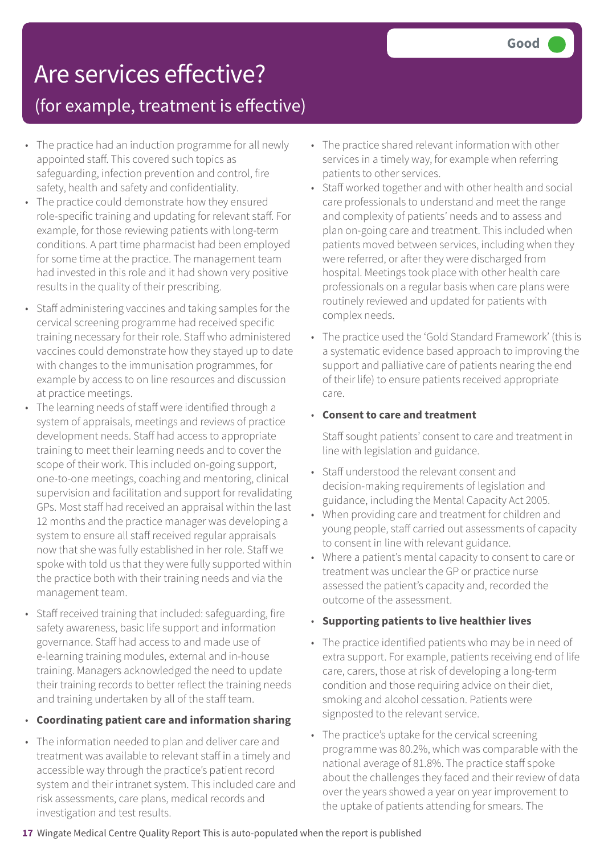### Are services effective?

(for example, treatment is effective)

- The practice had an induction programme for all newly appointed staff. This covered such topics as safeguarding, infection prevention and control, fire safety, health and safety and confidentiality.
- The practice could demonstrate how they ensured role-specific training and updating for relevant staff. For example, for those reviewing patients with long-term conditions. A part time pharmacist had been employed for some time at the practice. The management team had invested in this role and it had shown very positive results in the quality of their prescribing.
- Staff administering vaccines and taking samples for the cervical screening programme had received specific training necessary for their role. Staff who administered vaccines could demonstrate how they stayed up to date with changes to the immunisation programmes, for example by access to on line resources and discussion at practice meetings.
- The learning needs of staff were identified through a system of appraisals, meetings and reviews of practice development needs. Staff had access to appropriate training to meet their learning needs and to cover the scope of their work. This included on-going support, one-to-one meetings, coaching and mentoring, clinical supervision and facilitation and support for revalidating GPs. Most staff had received an appraisal within the last 12 months and the practice manager was developing a system to ensure all staff received regular appraisals now that she was fully established in her role. Staff we spoke with told us that they were fully supported within the practice both with their training needs and via the management team.
- Staff received training that included: safeguarding, fire safety awareness, basic life support and information governance. Staff had access to and made use of e-learning training modules, external and in-house training. Managers acknowledged the need to update their training records to better reflect the training needs and training undertaken by all of the staff team.
- **Coordinating patient care and information sharing**
- The information needed to plan and deliver care and treatment was available to relevant staff in a timely and accessible way through the practice's patient record system and their intranet system. This included care and risk assessments, care plans, medical records and investigation and test results.
- The practice shared relevant information with other services in a timely way, for example when referring patients to other services.
- Staff worked together and with other health and social care professionals to understand and meet the range and complexity of patients' needs and to assess and plan on-going care and treatment. This included when patients moved between services, including when they were referred, or after they were discharged from hospital. Meetings took place with other health care professionals on a regular basis when care plans were routinely reviewed and updated for patients with complex needs.
- The practice used the 'Gold Standard Framework' (this is a systematic evidence based approach to improving the support and palliative care of patients nearing the end of their life) to ensure patients received appropriate care.

#### • **Consent to care and treatment**

Staff sought patients' consent to care and treatment in line with legislation and guidance.

- Staff understood the relevant consent and decision-making requirements of legislation and guidance, including the Mental Capacity Act 2005.
- When providing care and treatment for children and young people, staff carried out assessments of capacity to consent in line with relevant guidance.
- Where a patient's mental capacity to consent to care or treatment was unclear the GP or practice nurse assessed the patient's capacity and, recorded the outcome of the assessment.
- **Supporting patients to live healthier lives**
- The practice identified patients who may be in need of extra support. For example, patients receiving end of life care, carers, those at risk of developing a long-term condition and those requiring advice on their diet, smoking and alcohol cessation. Patients were signposted to the relevant service.
- The practice's uptake for the cervical screening programme was 80.2%, which was comparable with the national average of 81.8%. The practice staff spoke about the challenges they faced and their review of data over the years showed a year on year improvement to the uptake of patients attending for smears. The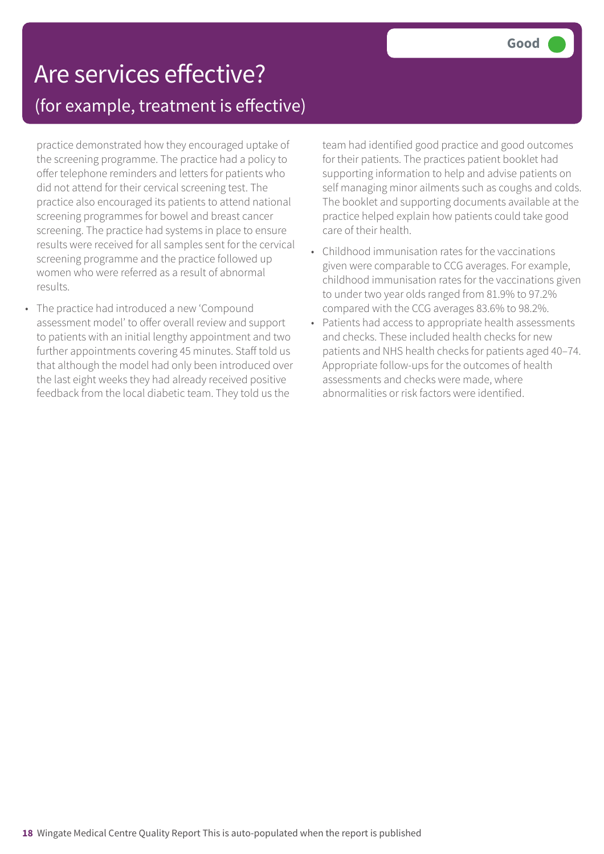### Are services effective? (for example, treatment is effective)

practice demonstrated how they encouraged uptake of the screening programme. The practice had a policy to offer telephone reminders and letters for patients who did not attend for their cervical screening test. The practice also encouraged its patients to attend national screening programmes for bowel and breast cancer screening. The practice had systems in place to ensure results were received for all samples sent for the cervical screening programme and the practice followed up women who were referred as a result of abnormal results.

• The practice had introduced a new 'Compound assessment model' to offer overall review and support to patients with an initial lengthy appointment and two further appointments covering 45 minutes. Staff told us that although the model had only been introduced over the last eight weeks they had already received positive feedback from the local diabetic team. They told us the

team had identified good practice and good outcomes for their patients. The practices patient booklet had supporting information to help and advise patients on self managing minor ailments such as coughs and colds. The booklet and supporting documents available at the practice helped explain how patients could take good care of their health.

- Childhood immunisation rates for the vaccinations given were comparable to CCG averages. For example, childhood immunisation rates for the vaccinations given to under two year olds ranged from 81.9% to 97.2% compared with the CCG averages 83.6% to 98.2%.
- Patients had access to appropriate health assessments and checks. These included health checks for new patients and NHS health checks for patients aged 40–74. Appropriate follow-ups for the outcomes of health assessments and checks were made, where abnormalities or risk factors were identified.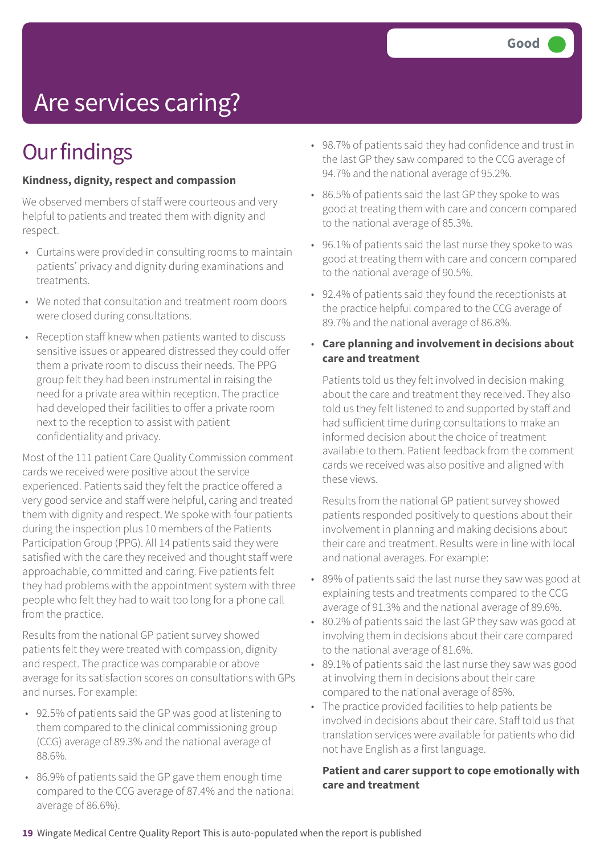# Are services caring?

### **Our findings**

#### **Kindness, dignity, respect and compassion**

We observed members of staff were courteous and very helpful to patients and treated them with dignity and respect.

- Curtains were provided in consulting rooms to maintain patients' privacy and dignity during examinations and treatments.
- We noted that consultation and treatment room doors were closed during consultations.
- Reception staff knew when patients wanted to discuss sensitive issues or appeared distressed they could offer them a private room to discuss their needs. The PPG group felt they had been instrumental in raising the need for a private area within reception. The practice had developed their facilities to offer a private room next to the reception to assist with patient confidentiality and privacy.

Most of the 111 patient Care Quality Commission comment cards we received were positive about the service experienced. Patients said they felt the practice offered a very good service and staff were helpful, caring and treated them with dignity and respect. We spoke with four patients during the inspection plus 10 members of the Patients Participation Group (PPG). All 14 patients said they were satisfied with the care they received and thought staff were approachable, committed and caring. Five patients felt they had problems with the appointment system with three people who felt they had to wait too long for a phone call from the practice.

Results from the national GP patient survey showed patients felt they were treated with compassion, dignity and respect. The practice was comparable or above average for its satisfaction scores on consultations with GPs and nurses. For example:

- 92.5% of patients said the GP was good at listening to them compared to the clinical commissioning group (CCG) average of 89.3% and the national average of 88.6%.
- 86.9% of patients said the GP gave them enough time compared to the CCG average of 87.4% and the national average of 86.6%).
- 98.7% of patients said they had confidence and trust in the last GP they saw compared to the CCG average of 94.7% and the national average of 95.2%.
- 86.5% of patients said the last GP they spoke to was good at treating them with care and concern compared to the national average of 85.3%.
- 96.1% of patients said the last nurse they spoke to was good at treating them with care and concern compared to the national average of 90.5%.
- 92.4% of patients said they found the receptionists at the practice helpful compared to the CCG average of 89.7% and the national average of 86.8%.
- **Care planning and involvement in decisions about care and treatment**

Patients told us they felt involved in decision making about the care and treatment they received. They also told us they felt listened to and supported by staff and had sufficient time during consultations to make an informed decision about the choice of treatment available to them. Patient feedback from the comment cards we received was also positive and aligned with these views.

Results from the national GP patient survey showed patients responded positively to questions about their involvement in planning and making decisions about their care and treatment. Results were in line with local and national averages. For example:

- 89% of patients said the last nurse they saw was good at explaining tests and treatments compared to the CCG average of 91.3% and the national average of 89.6%.
- 80.2% of patients said the last GP they saw was good at involving them in decisions about their care compared to the national average of 81.6%.
- 89.1% of patients said the last nurse they saw was good at involving them in decisions about their care compared to the national average of 85%.
- The practice provided facilities to help patients be involved in decisions about their care. Staff told us that translation services were available for patients who did not have English as a first language.

#### **Patient and carer support to cope emotionally with care and treatment**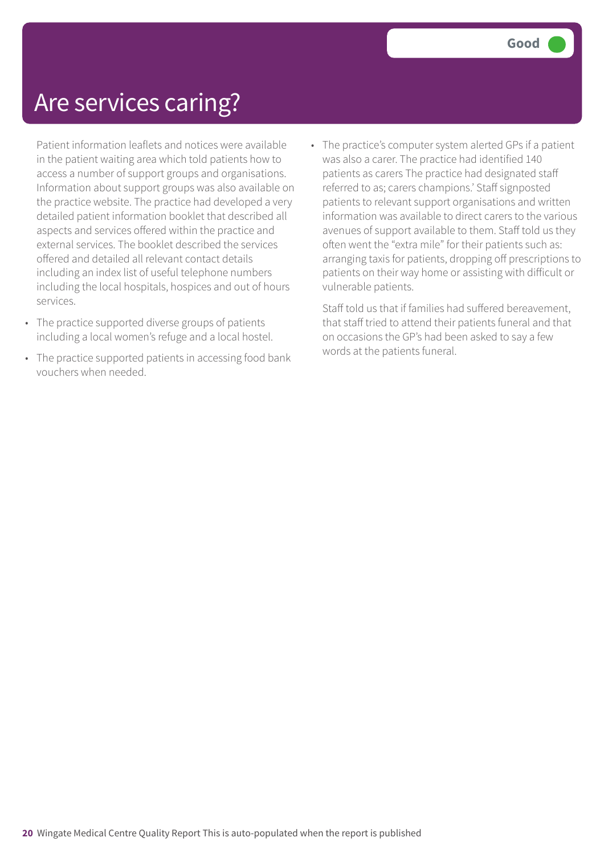### Are services caring?

Patient information leaflets and notices were available in the patient waiting area which told patients how to access a number of support groups and organisations. Information about support groups was also available on the practice website. The practice had developed a very detailed patient information booklet that described all aspects and services offered within the practice and external services. The booklet described the services offered and detailed all relevant contact details including an index list of useful telephone numbers including the local hospitals, hospices and out of hours services.

- The practice supported diverse groups of patients including a local women's refuge and a local hostel.
- The practice supported patients in accessing food bank vouchers when needed.
- The practice's computer system alerted GPs if a patient was also a carer. The practice had identified 140 patients as carers The practice had designated staff referred to as; carers champions.' Staff signposted patients to relevant support organisations and written information was available to direct carers to the various avenues of support available to them. Staff told us they often went the "extra mile" for their patients such as: arranging taxis for patients, dropping off prescriptions to patients on their way home or assisting with difficult or vulnerable patients.

Staff told us that if families had suffered bereavement, that staff tried to attend their patients funeral and that on occasions the GP's had been asked to say a few words at the patients funeral.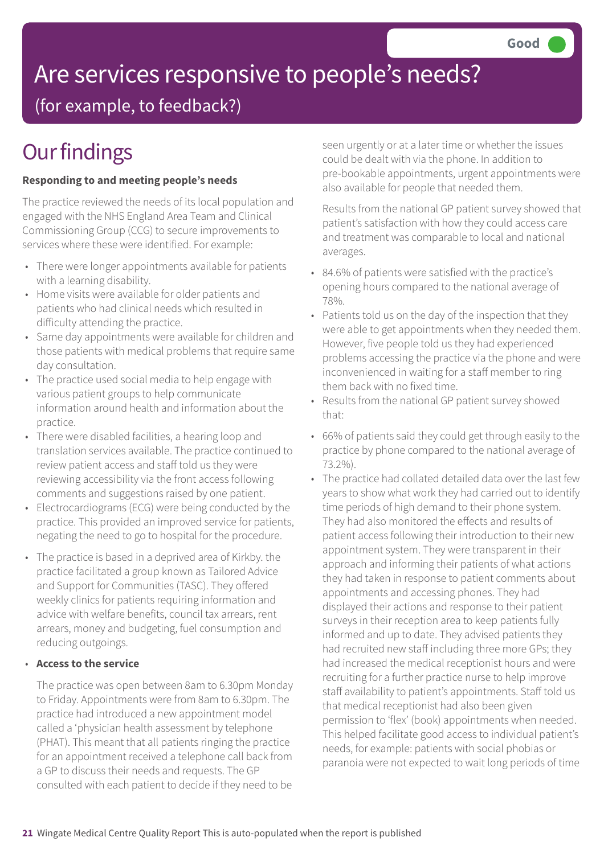# Are services responsive to people's needs?

(for example, to feedback?)

# **Our findings**

#### **Responding to and meeting people's needs**

The practice reviewed the needs of its local population and engaged with the NHS England Area Team and Clinical Commissioning Group (CCG) to secure improvements to services where these were identified. For example:

- There were longer appointments available for patients with a learning disability.
- Home visits were available for older patients and patients who had clinical needs which resulted in difficulty attending the practice.
- Same day appointments were available for children and those patients with medical problems that require same day consultation.
- The practice used social media to help engage with various patient groups to help communicate information around health and information about the practice.
- There were disabled facilities, a hearing loop and translation services available. The practice continued to review patient access and staff told us they were reviewing accessibility via the front access following comments and suggestions raised by one patient.
- Electrocardiograms (ECG) were being conducted by the practice. This provided an improved service for patients, negating the need to go to hospital for the procedure.
- The practice is based in a deprived area of Kirkby. the practice facilitated a group known as Tailored Advice and Support for Communities (TASC). They offered weekly clinics for patients requiring information and advice with welfare benefits, council tax arrears, rent arrears, money and budgeting, fuel consumption and reducing outgoings.

#### • **Access to the service**

The practice was open between 8am to 6.30pm Monday to Friday. Appointments were from 8am to 6.30pm. The practice had introduced a new appointment model called a 'physician health assessment by telephone (PHAT). This meant that all patients ringing the practice for an appointment received a telephone call back from a GP to discuss their needs and requests. The GP consulted with each patient to decide if they need to be

seen urgently or at a later time or whether the issues could be dealt with via the phone. In addition to pre-bookable appointments, urgent appointments were also available for people that needed them.

Results from the national GP patient survey showed that patient's satisfaction with how they could access care and treatment was comparable to local and national averages.

- 84.6% of patients were satisfied with the practice's opening hours compared to the national average of 78%.
- Patients told us on the day of the inspection that they were able to get appointments when they needed them. However, five people told us they had experienced problems accessing the practice via the phone and were inconvenienced in waiting for a staff member to ring them back with no fixed time.
- Results from the national GP patient survey showed that:
- 66% of patients said they could get through easily to the practice by phone compared to the national average of 73.2%).
- The practice had collated detailed data over the last few years to show what work they had carried out to identify time periods of high demand to their phone system. They had also monitored the effects and results of patient access following their introduction to their new appointment system. They were transparent in their approach and informing their patients of what actions they had taken in response to patient comments about appointments and accessing phones. They had displayed their actions and response to their patient surveys in their reception area to keep patients fully informed and up to date. They advised patients they had recruited new staff including three more GPs; they had increased the medical receptionist hours and were recruiting for a further practice nurse to help improve staff availability to patient's appointments. Staff told us that medical receptionist had also been given permission to 'flex' (book) appointments when needed. This helped facilitate good access to individual patient's needs, for example: patients with social phobias or paranoia were not expected to wait long periods of time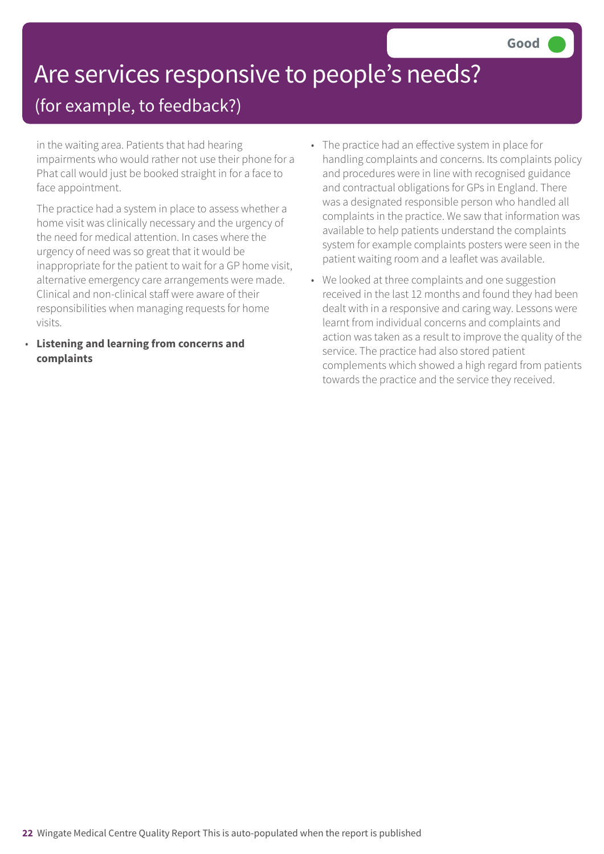# Are services responsive to people's needs?

### (for example, to feedback?)

in the waiting area. Patients that had hearing impairments who would rather not use their phone for a Phat call would just be booked straight in for a face to face appointment.

The practice had a system in place to assess whether a home visit was clinically necessary and the urgency of the need for medical attention. In cases where the urgency of need was so great that it would be inappropriate for the patient to wait for a GP home visit, alternative emergency care arrangements were made. Clinical and non-clinical staff were aware of their responsibilities when managing requests for home visits.

• **Listening and learning from concerns and complaints**

- The practice had an effective system in place for handling complaints and concerns. Its complaints policy and procedures were in line with recognised guidance and contractual obligations for GPs in England. There was a designated responsible person who handled all complaints in the practice. We saw that information was available to help patients understand the complaints system for example complaints posters were seen in the patient waiting room and a leaflet was available.
- We looked at three complaints and one suggestion received in the last 12 months and found they had been dealt with in a responsive and caring way. Lessons were learnt from individual concerns and complaints and action was taken as a result to improve the quality of the service. The practice had also stored patient complements which showed a high regard from patients towards the practice and the service they received.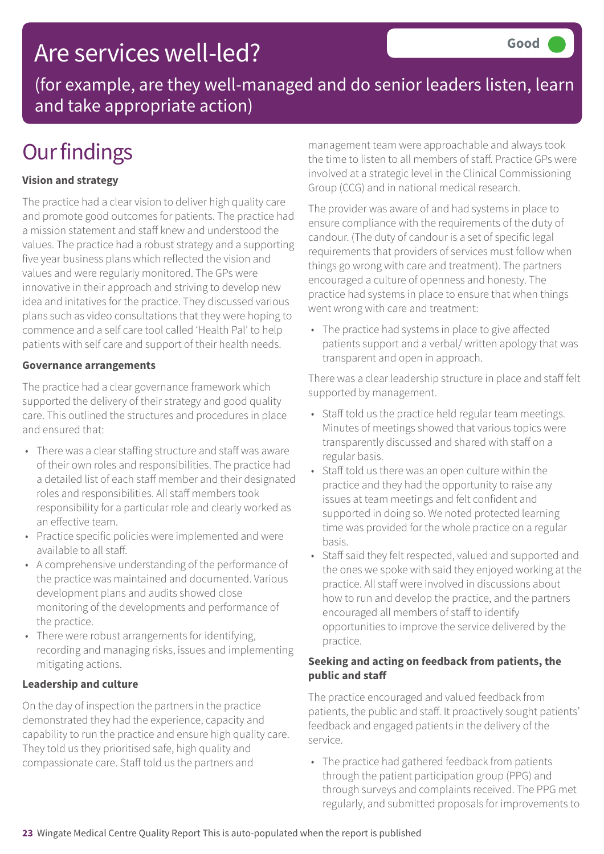### Are services well-led?

(for example, are they well-managed and do senior leaders listen, learn and take appropriate action)

## **Our findings**

### **Vision and strategy**

The practice had a clear vision to deliver high quality care and promote good outcomes for patients. The practice had a mission statement and staff knew and understood the values. The practice had a robust strategy and a supporting five year business plans which reflected the vision and values and were regularly monitored. The GPs were innovative in their approach and striving to develop new idea and initatives for the practice. They discussed various plans such as video consultations that they were hoping to commence and a self care tool called 'Health Pal' to help patients with self care and support of their health needs.

#### **Governance arrangements**

The practice had a clear governance framework which supported the delivery of their strategy and good quality care. This outlined the structures and procedures in place and ensured that:

- There was a clear staffing structure and staff was aware of their own roles and responsibilities. The practice had a detailed list of each staff member and their designated roles and responsibilities. All staff members took responsibility for a particular role and clearly worked as an effective team.
- Practice specific policies were implemented and were available to all staff.
- A comprehensive understanding of the performance of the practice was maintained and documented. Various development plans and audits showed close monitoring of the developments and performance of the practice.
- There were robust arrangements for identifying, recording and managing risks, issues and implementing mitigating actions.

#### **Leadership and culture**

On the day of inspection the partners in the practice demonstrated they had the experience, capacity and capability to run the practice and ensure high quality care. They told us they prioritised safe, high quality and compassionate care. Staff told us the partners and

management team were approachable and always took the time to listen to all members of staff. Practice GPs were involved at a strategic level in the Clinical Commissioning Group (CCG) and in national medical research.

The provider was aware of and had systems in place to ensure compliance with the requirements of the duty of candour. (The duty of candour is a set of specific legal requirements that providers of services must follow when things go wrong with care and treatment). The partners encouraged a culture of openness and honesty. The practice had systems in place to ensure that when things went wrong with care and treatment:

• The practice had systems in place to give affected patients support and a verbal/ written apology that was transparent and open in approach.

There was a clear leadership structure in place and staff felt supported by management.

- Staff told us the practice held regular team meetings. Minutes of meetings showed that various topics were transparently discussed and shared with staff on a regular basis.
- Staff told us there was an open culture within the practice and they had the opportunity to raise any issues at team meetings and felt confident and supported in doing so. We noted protected learning time was provided for the whole practice on a regular basis.
- Staff said they felt respected, valued and supported and the ones we spoke with said they enjoyed working at the practice. All staff were involved in discussions about how to run and develop the practice, and the partners encouraged all members of staff to identify opportunities to improve the service delivered by the practice.

#### **Seeking and acting on feedback from patients, the public and staff**

The practice encouraged and valued feedback from patients, the public and staff. It proactively sought patients' feedback and engaged patients in the delivery of the service.

• The practice had gathered feedback from patients through the patient participation group (PPG) and through surveys and complaints received. The PPG met regularly, and submitted proposals for improvements to